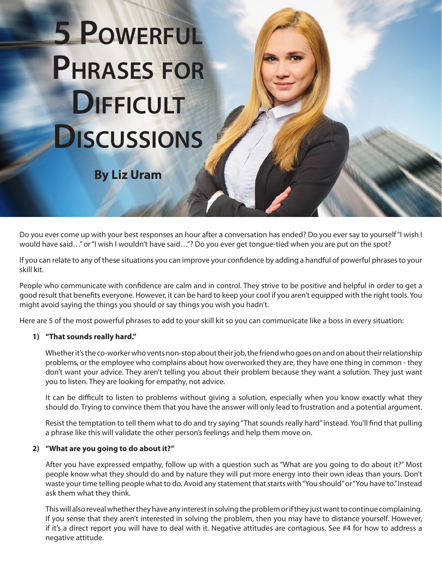# **5 Powerful Phrases for DIFFICULT Discussions**

**By Liz Uram**

Do you ever come up with your best responses an hour after a conversation has ended? Do you ever say to yourself "I wish I would have said…" or "I wish I wouldn't have said…"? Do you ever get tongue-tied when you are put on the spot?

If you can relate to any of these situations you can improve your confidence by adding a handful of powerful phrases to your skill kit.

People who communicate with confidence are calm and in control. They strive to be positive and helpful in order to get a good result that benefits everyone. However, it can be hard to keep your cool if you aren't equipped with the right tools. You might avoid saying the things you should or say things you wish you hadn't.

Here are 5 of the most powerful phrases to add to your skill kit so you can communicate like a boss in every situation:

## **1) "That sounds really hard."**

Whether it's the co-worker who vents non-stop about their job, the friend who goes on and on about their relationship problems, or the employee who complains about how overworked they are, they have one thing in common - they don't want your advice. They aren't telling you about their problem because they want a solution. They just want you to listen. They are looking for empathy, not advice.

It can be difficult to listen to problems without giving a solution, especially when you know exactly what they should do. Trying to convince them that you have the answer will only lead to frustration and a potential argument.

Resist the temptation to tell them what to do and try saying "That sounds really hard" instead. You'll find that pulling a phrase like this will validate the other person's feelings and help them move on.

#### **2) "What are you going to do about it?"**

After you have expressed empathy, follow up with a question such as "What are you going to do about it?" Most people know what they should do and by nature they will put more energy into their own ideas than yours. Don't waste your time telling people what to do. Avoid any statement that starts with "You should" or "You have to." Instead ask them what they think.

This will also reveal whether they have any interest in solving the problem or if they just want to continue complaining. If you sense that they aren't interested in solving the problem, then you may have to distance yourself. However, if it's a direct report you will have to deal with it. Negative attitudes are contagious. See #4 for how to address a negative attitude.